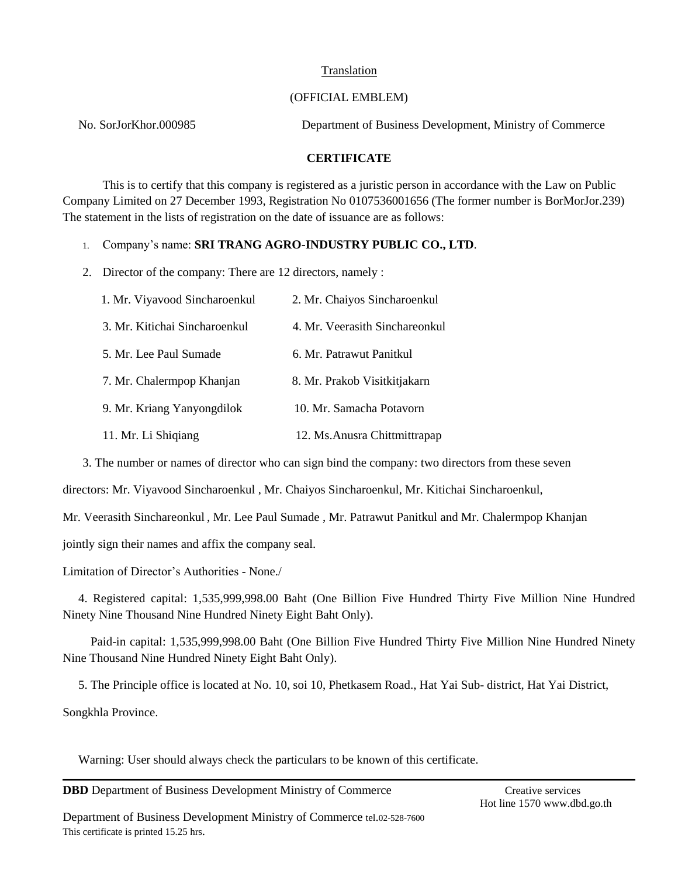## (OFFICIAL EMBLEM)

No. SorJorKhor.000985 Department of Business Development, Ministry of Commerce

# **CERTIFICATE**

This is to certify that this company is registered as a juristic person in accordance with the Law on Public Company Limited on 27 December 1993, Registration No 0107536001656 (The former number is BorMorJor.239) The statement in the lists of registration on the date of issuance are as follows:

## 1. Company's name: **SRI TRANG AGRO-INDUSTRY PUBLIC CO., LTD**.

2. Director of the company: There are 12 directors, namely :

| 1. Mr. Viyavood Sincharoenkul | 2. Mr. Chaiyos Sincharoenkul   |
|-------------------------------|--------------------------------|
| 3. Mr. Kitichai Sincharoenkul | 4. Mr. Veerasith Sinchareonkul |
| 5. Mr. Lee Paul Sumade        | 6. Mr. Patrawut Panitkul       |
| 7. Mr. Chalermpop Khanjan     | 8. Mr. Prakob Visitkitjakarn   |
| 9. Mr. Kriang Yanyongdilok    | 10. Mr. Samacha Potavorn       |
| 11. Mr. Li Shiqiang           | 12. Ms. Anusra Chittmittrapap  |

3. The number or names of director who can sign bind the company: two directors from these seven

directors: Mr. Viyavood Sincharoenkul , Mr. Chaiyos Sincharoenkul, Mr. Kitichai Sincharoenkul,

Mr. Veerasith Sinchareonkul , Mr. Lee Paul Sumade , Mr. Patrawut Panitkul and Mr. Chalermpop Khanjan

jointly sign their names and affix the company seal.

Limitation of Director's Authorities - None./

4. Registered capital: 1,535,999,998.00 Baht (One Billion Five Hundred Thirty Five Million Nine Hundred Ninety Nine Thousand Nine Hundred Ninety Eight Baht Only).

 Paid-in capital: 1,535,999,998.00 Baht (One Billion Five Hundred Thirty Five Million Nine Hundred Ninety Nine Thousand Nine Hundred Ninety Eight Baht Only).

5. The Principle office is located at No. 10, soi 10, Phetkasem Road., Hat Yai Sub- district, Hat Yai District,

Songkhla Province.

Warning: User should always check the particulars to be known of this certificate.

**DBD** Department of Business Development Ministry of Commerce Creative services

Department of Business Development Ministry of Commerce tel.02-528-7600 This certificate is printed 15.25 hrs.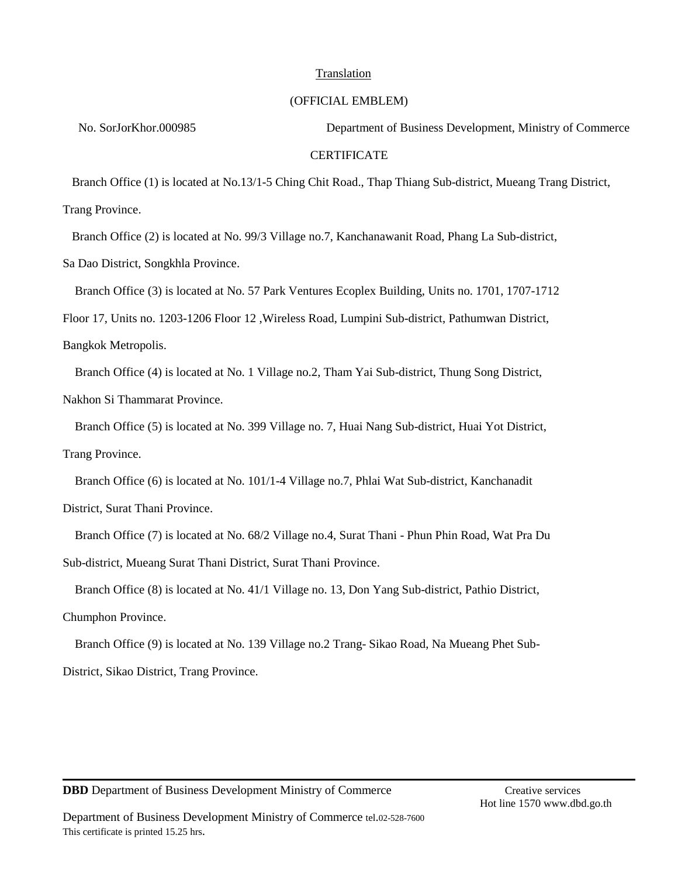### (OFFICIAL EMBLEM)

No. SorJorKhor.000985 Department of Business Development, Ministry of Commerce

#### **CERTIFICATE**

 Branch Office (1) is located at No.13/1-5 Ching Chit Road., Thap Thiang Sub-district, Mueang Trang District, Trang Province.

Branch Office (2) is located at No. 99/3 Village no.7, Kanchanawanit Road, Phang La Sub-district,

Sa Dao District, Songkhla Province.

Branch Office (3) is located at No. 57 Park Ventures Ecoplex Building, Units no. 1701, 1707-1712

Floor 17, Units no. 1203-1206 Floor 12 ,Wireless Road, Lumpini Sub-district, Pathumwan District,

Bangkok Metropolis.

Branch Office (4) is located at No. 1 Village no.2, Tham Yai Sub-district, Thung Song District,

Nakhon Si Thammarat Province.

Branch Office (5) is located at No. 399 Village no. 7, Huai Nang Sub-district, Huai Yot District,

Trang Province.

Branch Office (6) is located at No. 101/1-4 Village no.7, Phlai Wat Sub-district, Kanchanadit

District, Surat Thani Province.

Branch Office (7) is located at No. 68/2 Village no.4, Surat Thani - Phun Phin Road, Wat Pra Du

Sub-district, Mueang Surat Thani District, Surat Thani Province.

Branch Office (8) is located at No. 41/1 Village no. 13, Don Yang Sub-district, Pathio District,

Chumphon Province.

Branch Office (9) is located at No. 139 Village no.2 Trang- Sikao Road, Na Mueang Phet Sub-

District, Sikao District, Trang Province.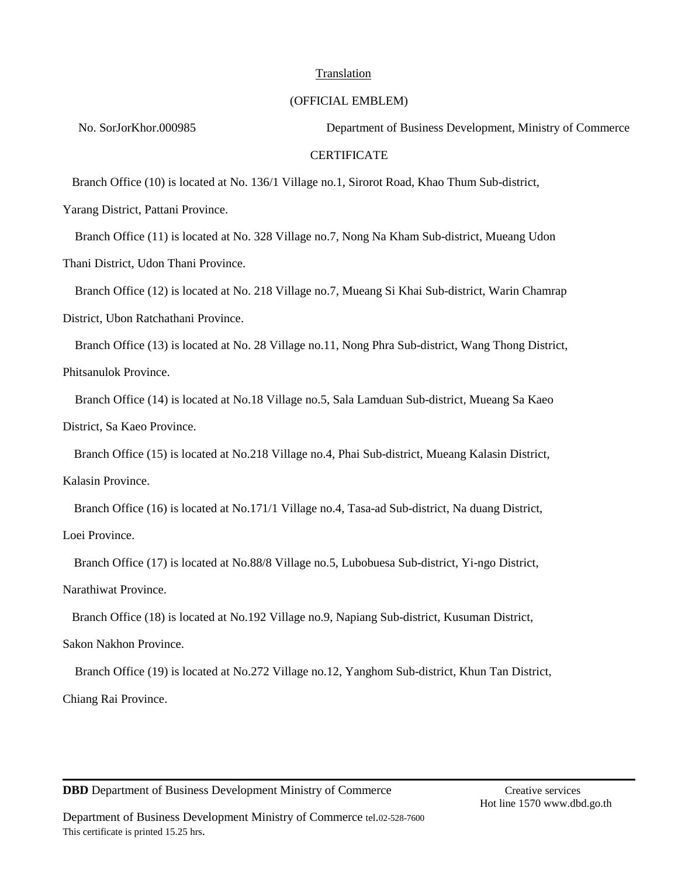### (OFFICIAL EMBLEM)

No. SorJorKhor.000985 Department of Business Development, Ministry of Commerce

#### **CERTIFICATE**

Branch Office (10) is located at No. 136/1 Village no.1, Sirorot Road, Khao Thum Sub-district,

Yarang District, Pattani Province.

Branch Office (11) is located at No. 328 Village no.7, Nong Na Kham Sub-district, Mueang Udon

Thani District, Udon Thani Province.

Branch Office (12) is located at No. 218 Village no.7, Mueang Si Khai Sub-district, Warin Chamrap

District, Ubon Ratchathani Province.

Branch Office (13) is located at No. 28 Village no.11, Nong Phra Sub-district, Wang Thong District,

Phitsanulok Province.

 Branch Office (14) is located at No.18 Village no.5, Sala Lamduan Sub-district, Mueang Sa Kaeo District, Sa Kaeo Province.

Branch Office (15) is located at No.218 Village no.4, Phai Sub-district, Mueang Kalasin District,

Kalasin Province.

Branch Office (16) is located at No.171/1 Village no.4, Tasa-ad Sub-district, Na duang District,

Loei Province.

Branch Office (17) is located at No.88/8 Village no.5, Lubobuesa Sub-district, Yi-ngo District,

Narathiwat Province.

Branch Office (18) is located at No.192 Village no.9, Napiang Sub-district, Kusuman District,

Sakon Nakhon Province.

Branch Office (19) is located at No.272 Village no.12, Yanghom Sub-district, Khun Tan District,

Chiang Rai Province.

**DBD** Department of Business Development Ministry of Commerce Creative services